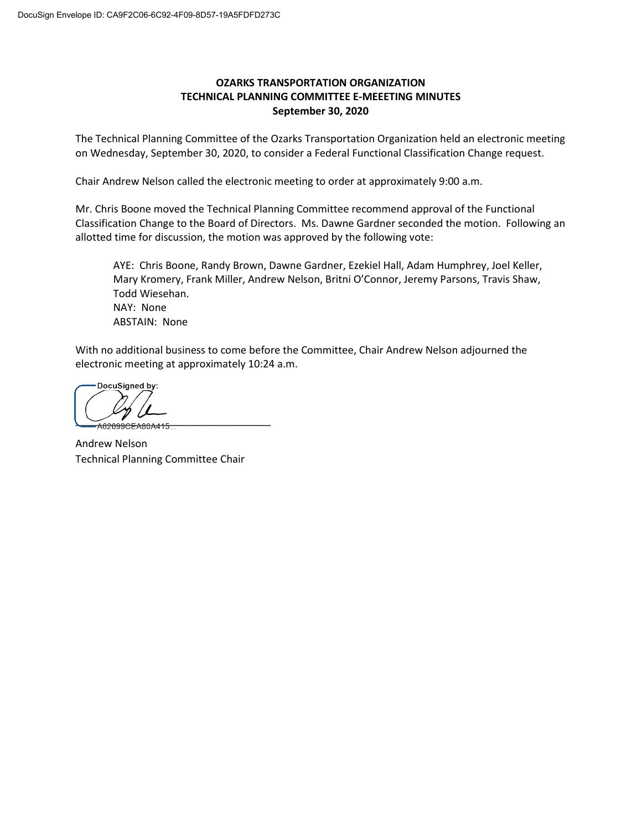## **OZARKS TRANSPORTATION ORGANIZATION TECHNICAL PLANNING COMMITTEE E-MEEETING MINUTES September 30, 2020**

The Technical Planning Committee of the Ozarks Transportation Organization held an electronic meeting on Wednesday, September 30, 2020, to consider a Federal Functional Classification Change request.

Chair Andrew Nelson called the electronic meeting to order at approximately 9:00 a.m.

Mr. Chris Boone moved the Technical Planning Committee recommend approval of the Functional Classification Change to the Board of Directors. Ms. Dawne Gardner seconded the motion. Following an allotted time for discussion, the motion was approved by the following vote:

AYE: Chris Boone, Randy Brown, Dawne Gardner, Ezekiel Hall, Adam Humphrey, Joel Keller, Mary Kromery, Frank Miller, Andrew Nelson, Britni O'Connor, Jeremy Parsons, Travis Shaw, Todd Wiesehan. NAY: None ABSTAIN: None

With no additional business to come before the Committee, Chair Andrew Nelson adjourned the electronic meeting at approximately 10:24 a.m.

DocuSigned by: A62699CEA80A415.

Andrew Nelson Technical Planning Committee Chair